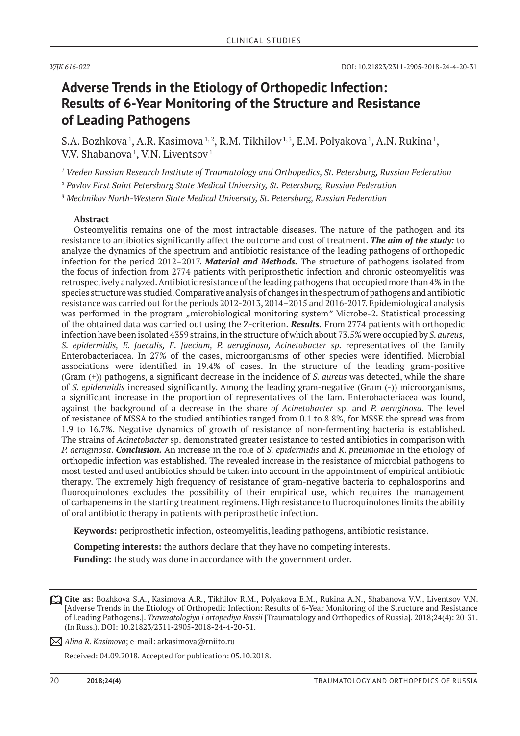### **Adverse Trends in the Etiology of Orthopedic Infection: Results of 6-Year Monitoring of the Structure and Resistance of Leading Pathogens**

S.A. Bozhkova <sup>1</sup>, A.R. Kasimova <sup>1, 2</sup>, R.M. Tikhilov <sup>1, 3</sup>, E.M. Polyakova <sup>1</sup>, A.N. Rukina <sup>1</sup>, V.V. Shabanova  $^1$ , V.N. Liventsov  $^1$ 

*1 Vreden Russian Research Institute of Traumatology and Orthopedics, St. Petersburg, Russian Federation*

*2 Pavlov First Saint Petersburg State Medical University, St. Petersburg, Russian Federation*

*3 Mechnikov North-Western State Medical University, St. Petersburg, Russian Federation*

#### **Abstract**

Osteomyelitis remains one of the most intractable diseases. The nature of the pathogen and its resistance to antibiotics significantly affect the outcome and cost of treatment. *The aim of the study:* to analyze the dynamics of the spectrum and antibiotic resistance of the leading pathogens of orthopedic infection for the period 2012–2017. *Material and methods.* The structure of pathogens isolated from the focus of infection from 2774 patients with periprosthetic infection and chronic osteomyelitis was retrospectively analyzed. Antibiotic resistance of the leading pathogens that occupied more than 4% in the species structure was studied. Comparative analysis of changes in the spectrum of pathogens and antibiotic resistance was carried out for the periods 2012-2013, 2014–2015 and 2016-2017. Epidemiological analysis was performed in the program "microbiological monitoring system" Microbe-2. Statistical processing of the obtained data was carried out using the Z-criterion. *Results.* From 2774 patients with orthopedic infection have been isolated 4359 strains, in the structure of which about 73.5% were occupied by *S. aureus, S. epidermidis, E. faecalis, E. faecium, P. aeruginosa, Acinetobacter sp.* representatives of the family Enterobacteriacea. In 27% of the cases, microorganisms of other species were identified. Microbial associations were identified in 19.4% of cases. In the structure of the leading gram-positive (Gram (+)) pathogens, a significant decrease in the incidence of *S. aureus* was detected, while the share of *S. epidermidis* increased significantly. Among the leading gram-negative (Gram (-)) microorganisms, a significant increase in the proportion of representatives of the fam. Enterobacteriacea was found, against the background of a decrease in the share *of Acinetobacter* sp. and *P. aeruginosa*. The level of resistance of MSSA to the studied antibiotics ranged from 0.1 to 8.8%, for MSSE the spread was from 1.9 to 16.7%. Negative dynamics of growth of resistance of non-fermenting bacteria is established. The strains of *Acinetobacter* sp. demonstrated greater resistance to tested antibiotics in comparison with *P. aeruginosa*. *Conclusion.* An increase in the role of *S. epidermidis* and *K. pneumoniae* in the etiology of orthopedic infection was established. The revealed increase in the resistance of microbial pathogens to most tested and used antibiotics should be taken into account in the appointment of empirical antibiotic therapy. The extremely high frequency of resistance of gram-negative bacteria to cephalosporins and fluoroquinolones excludes the possibility of their empirical use, which requires the management of carbapenems in the starting treatment regimens. High resistance to fluoroquinolones limits the ability of oral antibiotic therapy in patients with periprosthetic infection.

**Keywords:** periprosthetic infection, osteomyelitis, leading pathogens, antibiotic resistance.

**Competing interests:** the authors declare that they have no competing interests.

Funding: the study was done in accordance with the government order.

**Cite as:** Bozhkova S.A., Kasimova A.R., Tikhilov R.M., Polyakova E.M., Rukina A.N., Shabanova V.V., Liventsov V.N. [Adverse Trends in the Etiology of Orthopedic Infection: Results of 6-Year Monitoring of the Structure and Resistance of Leading Pathogens.]. *Travmatologiya i ortopediya Rossii* [Traumatology and Orthopedics of Russia]. 2018;24(4): 20-31. (In Russ.). DOI: 10.21823/2311-2905-2018-24-4-20-31.

*Alina R. Kasimova*; e-mail: arkasimova@rniito.ru

Received: 04.09.2018. Accepted for publication: 05.10.2018.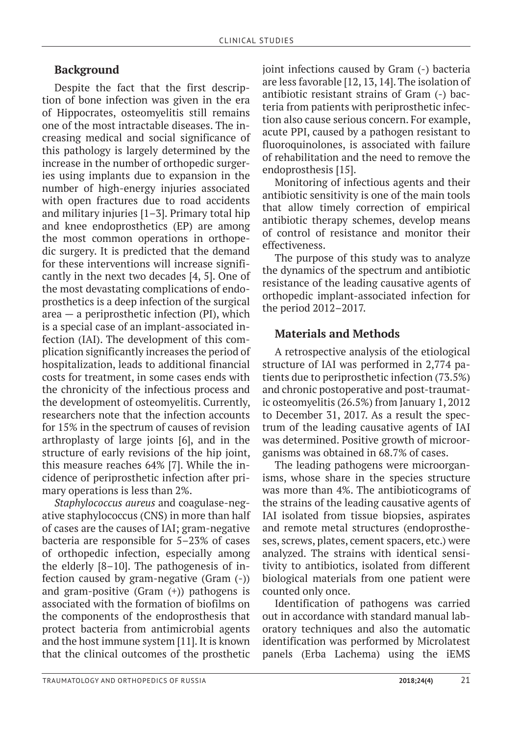### **Background**

Despite the fact that the first description of bone infection was given in the era of Hippocrates, osteomyelitis still remains one of the most intractable diseases. The increasing medical and social significance of this pathology is largely determined by the increase in the number of orthopedic surgeries using implants due to expansion in the number of high-energy injuries associated with open fractures due to road accidents and military injuries [1–3]. Primary total hip and knee endoprosthetics (EP) are among the most common operations in orthopedic surgery. It is predicted that the demand for these interventions will increase significantly in the next two decades [4, 5]. One of the most devastating complications of endoprosthetics is a deep infection of the surgical area — a periprosthetic infection (PI), which is a special case of an implant-associated infection (IAI). The development of this complication significantly increases the period of hospitalization, leads to additional financial costs for treatment, in some cases ends with the chronicity of the infectious process and the development of osteomyelitis. Currently, researchers note that the infection accounts for 15% in the spectrum of causes of revision arthroplasty of large joints [6], and in the structure of early revisions of the hip joint, this measure reaches 64% [7]. While the incidence of periprosthetic infection after primary operations is less than 2%.

*Staphylococcus aureus* and coagulase-negative staphylococcus (CNS) in more than half of cases are the causes of IAI; gram-negative bacteria are responsible for 5–23% of cases of orthopedic infection, especially among the elderly [8–10]. The pathogenesis of infection caused by gram-negative (Gram (-)) and gram-positive (Gram (+)) pathogens is associated with the formation of biofilms on the components of the endoprosthesis that protect bacteria from antimicrobial agents and the host immune system [11]. It is known that the clinical outcomes of the prosthetic

joint infections caused by Gram (-) bacteria are less favorable [12, 13, 14]. The isolation of antibiotic resistant strains of Gram (-) bacteria from patients with periprosthetic infection also cause serious concern. For example, acute PPI, caused by a pathogen resistant to fluoroquinolones, is associated with failure of rehabilitation and the need to remove the endoprosthesis [15].

Monitoring of infectious agents and their antibiotic sensitivity is one of the main tools that allow timely correction of empirical antibiotic therapy schemes, develop means of control of resistance and monitor their effectiveness.

The purpose of this study was to analyze the dynamics of the spectrum and antibiotic resistance of the leading causative agents of orthopedic implant-associated infection for the period 2012–2017.

#### **Materials and Methods**

A retrospective analysis of the etiological structure of IAI was performed in 2,774 patients due to periprosthetic infection (73.5%) and chronic postoperative and post-traumatic osteomyelitis (26.5%) from January 1, 2012 to December 31, 2017. As a result the spectrum of the leading causative agents of IAI was determined. Positive growth of microorganisms was obtained in 68.7% of cases.

The leading pathogens were microorganisms, whose share in the species structure was more than 4%. The antibioticograms of the strains of the leading causative agents of IAI isolated from tissue biopsies, aspirates and remote metal structures (endoprostheses, screws, plates, cement spacers, etc.) were analyzed. The strains with identical sensitivity to antibiotics, isolated from different biological materials from one patient were counted only once.

Identification of pathogens was carried out in accordance with standard manual laboratory techniques and also the automatic identification was performed by Microlatest panels (Erba Lachema) using the iEMS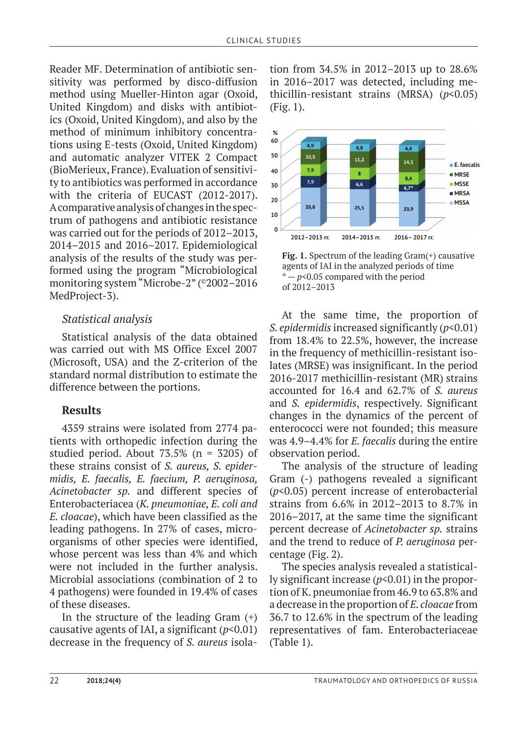Reader MF. Determination of antibiotic sensitivity was performed by disco-diffusion method using Mueller-Hinton agar (Oxoid, United Kingdom) and disks with antibiotics (Oxoid, United Kingdom), and also by the method of minimum inhibitory concentrations using E-tests (Oxoid, United Kingdom) and automatic analyzer VITEK 2 Compact (BioMerieux, France). Evaluation of sensitivity to antibiotics was performed in accordance with the criteria of EUCAST (2012-2017). A comparative analysis of changes in the spectrum of pathogens and antibiotic resistance was carried out for the periods of 2012–2013, 2014–2015 and 2016–2017. Epidemiological analysis of the results of the study was performed using the program "Microbiological monitoring system "Microbe-2" (©2002–2016 MedProject-3).

### *Statistical analysis*

Statistical analysis of the data obtained was carried out with MS Office Excel 2007 (Microsoft, USA) and the Z-criterion of the standard normal distribution to estimate the difference between the portions.

### **Results**

4359 strains were isolated from 2774 patients with orthopedic infection during the studied period. About 73.5% (n = 3205) of these strains consist of *S. aureus, S. epidermidis, E. faecalis, E. faecium, P. aeruginosa, Acinetobacter sp.* and different species of Enterobacteriacea (*K. pneumoniae, E. coli and E. cloacae*), which have been classified as the leading pathogens. In 27% of cases, microorganisms of other species were identified, whose percent was less than 4% and which were not included in the further analysis. Microbial associations (combination of 2 to 4 pathogens) were founded in 19.4% of cases of these diseases.

In the structure of the leading Gram  $(+)$ causative agents of IAI, a significant (*p*<0.01) decrease in the frequency of *S. aureus* isola-

tion from 34.5% in 2012–2013 up to 28.6% in 2016–2017 was detected, including methicillin-resistant strains (MRSA) (*p*<0.05) (Fig. 1).



**Fig. 1.** Spectrum of the leading Gram(+) causative agents of IAI in the analyzed periods of time  $* - p < 0.05$  compared with the period of 2012–2013

At the same time, the proportion of *S. epidermidis* increased significantly (*p*<0.01) from 18.4% to 22.5%, however, the increase in the frequency of methicillin-resistant isolates (MRSE) was insignificant. In the period 2016-2017 methicillin-resistant (MR) strains accounted for 16.4 and 62.7% of *S. aureus*  and *S. epidermidis*, respectively. Significant changes in the dynamics of the percent of enterococci were not founded; this measure was 4.9–4.4% for *E. faecalis* during the entire observation period.

The analysis of the structure of leading Gram (-) pathogens revealed a significant (*p*<0.05) percent increase of enterobacterial strains from 6.6% in 2012–2013 to 8.7% in 2016–2017, at the same time the significant percent decrease of *Acinetobacter sp.* strains and the trend to reduce of *P. aeruginosa* percentage (Fig. 2).

The species analysis revealed a statistically significant increase (*p*<0.01) in the proportion of K. pneumoniae from 46.9 to 63.8% and a decrease in the proportion of *E. cloacae* from 36.7 to 12.6% in the spectrum of the leading representatives of fam. Enterobacteriaceae (Table 1).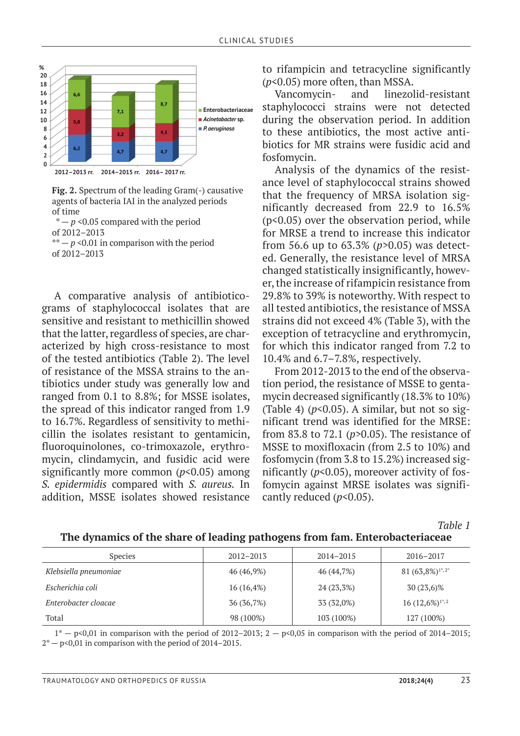

**Fig. 2.** Spectrum of the leading Gram(-) causative agents of bacteria IAI in the analyzed periods of time

 $* - p$  <0.05 compared with the period of 2012–2013  $*$  –  $p$  <0.01 in comparison with the period of 2012–2013

A comparative analysis of antibioticograms of staphylococcal isolates that are sensitive and resistant to methicillin showed that the latter, regardless of species, are characterized by high cross-resistance to most of the tested antibiotics (Table 2). The level of resistance of the MSSA strains to the antibiotics under study was generally low and ranged from 0.1 to 8.8%; for MSSE isolates, the spread of this indicator ranged from 1.9 to 16.7%. Regardless of sensitivity to methicillin the isolates resistant to gentamicin, fluoroquinolones, co-trimoxazole, erythromycin, clindamycin, and fusidic acid were significantly more common (*p*<0.05) among *S. epidermidis* compared with *S. aureus.* In addition, MSSE isolates showed resistance

to rifampicin and tetracycline significantly (*p*<0.05) more often, than MSSA.

Vancomycin- and linezolid-resistant staphylococci strains were not detected during the observation period. In addition to these antibiotics, the most active antibiotics for MR strains were fusidic acid and fosfomycin.

Analysis of the dynamics of the resistance level of staphylococcal strains showed that the frequency of MRSA isolation significantly decreased from 22.9 to 16.5% (p<0.05) over the observation period, while for MRSE a trend to increase this indicator from 56.6 up to 63.3% (*p*>0.05) was detected. Generally, the resistance level of MRSA changed statistically insignificantly, however, the increase of rifampicin resistance from 29.8% to 39% is noteworthy. With respect to all tested antibiotics, the resistance of MSSA strains did not exceed 4% (Table 3), with the exception of tetracycline and erythromycin, for which this indicator ranged from 7.2 to 10.4% and 6.7–7.8%, respectively.

From 2012-2013 to the end of the observation period, the resistance of MSSE to gentamycin decreased significantly (18.3% to 10%) (Table 4)  $(p<0.05)$ . A similar, but not so significant trend was identified for the MRSE: from 83.8 to 72.1 (*p*>0.05). The resistance of MSSE to moxifloxacin (from 2.5 to 10%) and fosfomycin (from 3.8 to 15.2%) increased significantly  $(p<0.05)$ , moreover activity of fosfomycin against MRSE isolates was significantly reduced ( $p$ <0.05).

*Table 1*

| <b>Species</b>        | $2012 - 2013$ | $2014 - 2015$ | 2016-2017                    |  |
|-----------------------|---------------|---------------|------------------------------|--|
| Klebsiella pneumoniae | 46 (46,9%)    | 46 (44,7%)    | 81 (63,8%) <sup>1*,2*</sup>  |  |
| Escherichia coli      | $16(16, 4\%)$ | 24 (23,3%)    | 30 (23,6)%                   |  |
| Enterobacter cloacae  | 36 (36,7%)    | 33 (32,0%)    | $16(12,6\%)$ <sup>1*,2</sup> |  |
| Total                 | 98 (100%)     | 103 (100%)    | 127 (100%)                   |  |

#### **The dynamics of the share of leading pathogens from fam. Enterobacteriaceae**

 $1^*$  - p<0,01 in comparison with the period of 2012–2013; 2 - p<0,05 in comparison with the period of 2014–2015;  $2^*$  – p<0,01 in comparison with the period of 2014–2015.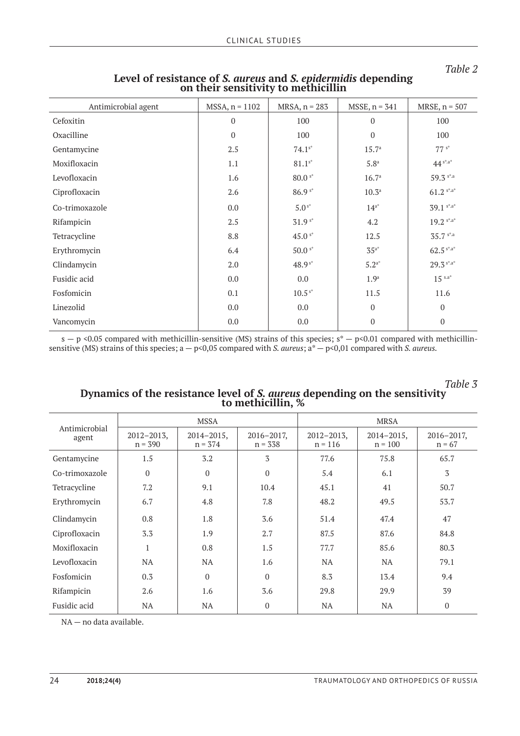#### *Table 2*

*Table 3*

| Antimicrobial agent | $MSSA, n = 1102$ | $MRSA, n = 283$ | $MSSE$ , $n = 341$ | MRSE, $n = 507$ |
|---------------------|------------------|-----------------|--------------------|-----------------|
| Cefoxitin           | 0                | 100             | $\boldsymbol{0}$   | 100             |
| Oxacilline          | $\boldsymbol{0}$ | 100             | $\boldsymbol{0}$   | 100             |
| Gentamycine         | 2.5              | $74.1^{s*}$     | 15.7 <sup>a</sup>  | $77 s*$         |
| Moxifloxacin        | 1.1              | $81.1^{s*}$     | 5.8 <sup>a</sup>   | $44^{s*.a*}$    |
| Levofloxacin        | 1.6              | $80.0 s*$       | 16.7 <sup>a</sup>  | 59.3 s*.a       |
| Ciprofloxacin       | 2.6              | $86.9 s*$       | 10.3 <sup>a</sup>  | $61.2$ s*.a*    |
| Co-trimoxazole      | 0.0              | $5.0^{s*}$      | $14^{a*}$          | 39.1 s*.a*      |
| Rifampicin          | 2.5              | $31.9s*$        | 4.2                | $19.2$ s*.a*    |
| Tetracycline        | 8.8              | $45.0 s*$       | 12.5               | $35.7$ s*.a     |
| Erythromycin        | 6.4              | $50.0 s*$       | $35^{a*}$          | $62.5$ s*.a*    |
| Clindamycin         | 2.0              | $48.9s*$        | $5.2^{a*}$         | $29.3$ s*.a*    |
| Fusidic acid        | 0.0              | 0.0             | 1.9 <sup>a</sup>   | $15$ s.a*       |
| Fosfomicin          | 0.1              | $10.5s*$        | 11.5               | 11.6            |
| Linezolid           | 0.0              | 0.0             | $\boldsymbol{0}$   | $\mathbf 0$     |
| Vancomycin          | $0.0\,$          | 0.0             | $\mathbf{0}$       | $\mathbf 0$     |

# **Level of resistance of** *S. aureus* **and** *S. epidermidis* **depending on their sensitivity to methicillin**

 $s - p \le 0.05$  compared with methicillin-sensitive (MS) strains of this species;  $s^* - p \le 0.01$  compared with methicillinsensitive (MS) strains of this species; a — p<0,05 compared with *S. aureus*; a\* — p<0,01 compared with *S. aureus.*

| Luvie ə                                                                           |
|-----------------------------------------------------------------------------------|
| Dynamics of the resistance level of S. <i>aureus</i> depending on the sensitivity |
|                                                                                   |
|                                                                                   |
|                                                                                   |

| Antimicrobial<br>agent |                              | <b>MSSA</b>                  |                              | <b>MRSA</b>                  |                              |                             |  |
|------------------------|------------------------------|------------------------------|------------------------------|------------------------------|------------------------------|-----------------------------|--|
|                        | $2012 - 2013$ ,<br>$n = 390$ | $2014 - 2015$ ,<br>$n = 374$ | $2016 - 2017$ ,<br>$n = 338$ | $2012 - 2013$ ,<br>$n = 116$ | $2014 - 2015$ ,<br>$n = 100$ | $2016 - 2017$ ,<br>$n = 67$ |  |
| Gentamycine            | 1.5                          | 3.2                          | 3                            | 77.6                         | 75.8                         | 65.7                        |  |
| Co-trimoxazole         | $\Omega$                     | $\Omega$                     | $\Omega$                     | 5.4                          | 6.1                          | 3                           |  |
| Tetracycline           | 7.2                          | 9.1                          | 10.4                         | 45.1                         | 41                           | 50.7                        |  |
| Erythromycin           | 6.7                          | 4.8                          | 7.8                          | 48.2                         | 49.5                         | 53.7                        |  |
| Clindamycin            | 0.8                          | 1.8                          | 3.6                          | 51.4                         | 47.4                         | 47                          |  |
| Ciprofloxacin          | 3.3                          | 1.9                          | 2.7                          | 87.5                         | 87.6                         | 84.8                        |  |
| Moxifloxacin           | $\mathbf{1}$                 | 0.8                          | 1.5                          | 77.7                         | 85.6                         | 80.3                        |  |
| Levofloxacin           | <b>NA</b>                    | <b>NA</b>                    | 1.6                          | NA.                          | <b>NA</b>                    | 79.1                        |  |
| Fosfomicin             | 0.3                          | $\Omega$                     | $\Omega$                     | 8.3                          | 13.4                         | 9.4                         |  |
| Rifampicin             | 2.6                          | 1.6                          | 3.6                          | 29.8                         | 29.9                         | 39                          |  |
| Fusidic acid           | NA                           | <b>NA</b>                    | $\overline{0}$               | <b>NA</b>                    | <b>NA</b>                    | $\mathbf{0}$                |  |

NA — no data available.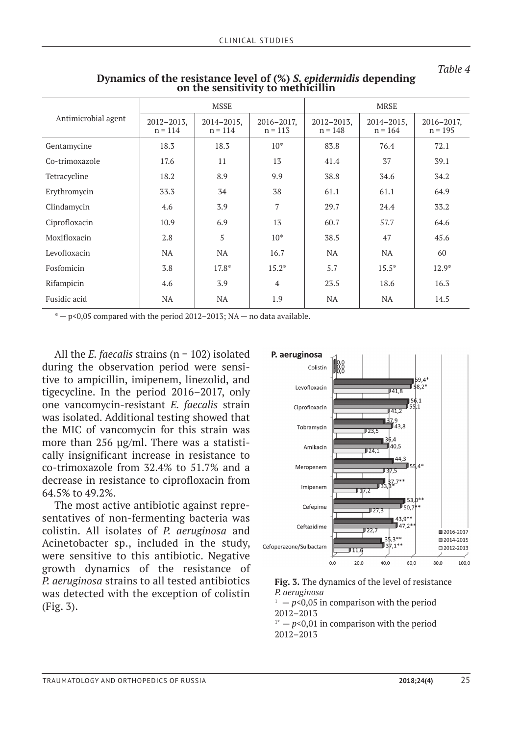|--|

|                     |                              | <b>MSSE</b>                  |                              | <b>MRSE</b>                  |                              |                              |  |
|---------------------|------------------------------|------------------------------|------------------------------|------------------------------|------------------------------|------------------------------|--|
| Antimicrobial agent | $2012 - 2013$ ,<br>$n = 114$ | $2014 - 2015$ ,<br>$n = 114$ | $2016 - 2017$ ,<br>$n = 113$ | $2012 - 2013$ ,<br>$n = 148$ | $2014 - 2015$ ,<br>$n = 164$ | $2016 - 2017$ ,<br>$n = 195$ |  |
| Gentamycine         | 18.3                         | 18.3                         | $10*$                        | 83.8                         | 76.4                         | 72.1                         |  |
| Co-trimoxazole      | 17.6                         | 11                           | 13                           | 41.4                         | 37                           | 39.1                         |  |
| Tetracycline        | 18.2                         | 8.9                          | 9.9                          | 38.8                         | 34.6                         | 34.2                         |  |
| Erythromycin        | 33.3                         | 34                           | 38                           | 61.1                         | 61.1                         | 64.9                         |  |
| Clindamycin         | 4.6                          | 3.9                          | 7                            | 29.7                         | 24.4                         | 33.2                         |  |
| Ciprofloxacin       | 10.9                         | 6.9                          | 13                           | 60.7                         | 57.7                         | 64.6                         |  |
| Moxifloxacin        | 2.8                          | 5                            | $10*$                        | 38.5                         | 47                           | 45.6                         |  |
| Levofloxacin        | NA.                          | <b>NA</b>                    | 16.7                         | NA.                          | <b>NA</b>                    | 60                           |  |
| Fosfomicin          | 3.8                          | $17.8*$                      | $15.2*$                      | 5.7                          | $15.5*$                      | $12.9*$                      |  |
| Rifampicin          | 4.6                          | 3.9                          | $\overline{4}$               | 23.5                         | 18.6                         | 16.3                         |  |
| Fusidic acid        | <b>NA</b>                    | NA.                          | 1.9                          | <b>NA</b>                    | <b>NA</b>                    | 14.5                         |  |

## **Dynamics of the resistance level of (%)** *S. epidermidis* **depending on the sensitivity to methicillin**

 $* - p < 0.05$  compared with the period 2012–2013; NA  $-$  no data available.

All the *E. faecalis* strains (n = 102) isolated during the observation period were sensitive to ampicillin, imipenem, linezolid, and tigecycline. In the period 2016–2017, only one vancomycin-resistant *E. faecalis* strain was isolated. Additional testing showed that the MIC of vancomycin for this strain was more than 256 μg/ml. There was a statistically insignificant increase in resistance to co-trimoxazole from 32.4% to 51.7% and a decrease in resistance to ciprofloxacin from 64.5% to 49.2%.

The most active antibiotic against representatives of non-fermenting bacteria was colistin. All isolates of *P. aeruginosa* and Acinetobacter sp., included in the study, were sensitive to this antibiotic. Negative growth dynamics of the resistance of *P. aeruginosa* strains to all tested antibiotics was detected with the exception of colistin (Fig. 3).



**Fig. 3.** The dynamics of the level of resistance *P. aeruginosa*  $1 - p < 0.05$  in comparison with the period 2012–2013  $1^* - p \leq 0.01$  in comparison with the period 2012–2013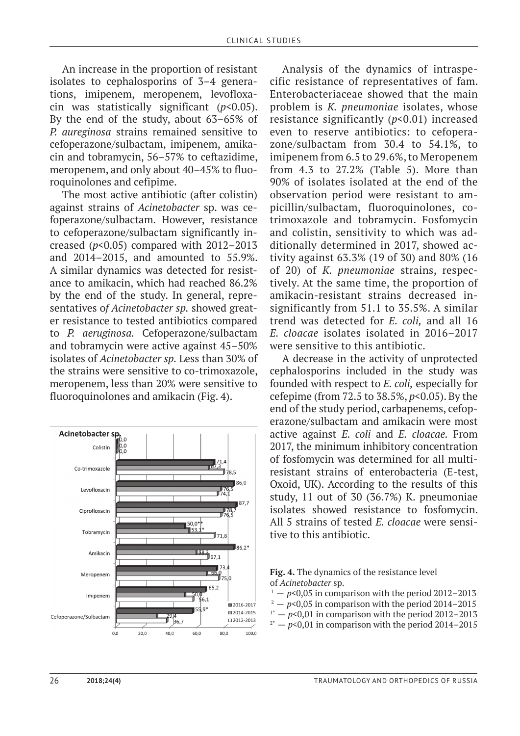An increase in the proportion of resistant isolates to cephalosporins of 3–4 generations, imipenem, meropenem, levofloxacin was statistically significant (*p*<0.05). By the end of the study, about 63–65% of *P. aureginosa* strains remained sensitive to cefoperazone/sulbactam, imipenem, amikacin and tobramycin, 56–57% to ceftazidime, meropenem, and only about 40–45% to fluoroquinolones and cefipime.

The most active antibiotic (after colistin) against strains of *Acinetobacter* sp. was cefoperazone/sulbactam. However, resistance to cefoperazone/sulbactam significantly increased  $(p<0.05)$  compared with  $2012-2013$ and 2014–2015, and amounted to 55.9%. A similar dynamics was detected for resistance to amikacin, which had reached 86.2% by the end of the study. In general, representatives o*f Acinetobacter sp.* showed greater resistance to tested antibiotics compared to *P. aeruginosa.* Cefoperazone/sulbactam and tobramycin were active against 45–50% isolates of *Acinetobacter sp.* Less than 30% of the strains were sensitive to co-trimoxazole, meropenem, less than 20% were sensitive to fluoroquinolones and amikacin (Fig. 4).



Analysis of the dynamics of intraspecific resistance of representatives of fam. Enterobacteriaceae showed that the main problem is *K. pneumoniae* isolates, whose resistance significantly (*p*<0.01) increased even to reserve antibiotics: to cefoperazone/sulbactam from 30.4 to 54.1%, to imipenem from 6.5 to 29.6%, to Meropenem from 4.3 to 27.2% (Table 5). More than 90% of isolates isolated at the end of the observation period were resistant to ampicillin/sulbactam, fluoroquinolones, cotrimoxazole and tobramycin. Fosfomycin and colistin, sensitivity to which was additionally determined in 2017, showed activity against 63.3% (19 of 30) and 80% (16 of 20) of *K. pneumoniae* strains, respectively. At the same time, the proportion of amikacin-resistant strains decreased insignificantly from 51.1 to 35.5%. A similar trend was detected for *E. coli,* and all 16 *E. cloacae* isolates isolated in 2016–2017 were sensitive to this antibiotic.

A decrease in the activity of unprotected cephalosporins included in the study was founded with respect to *E. coli,* especially for cefepime (from 72.5 to 38.5%, *p*<0.05). By the end of the study period, carbapenems, cefoperazone/sulbactam and amikacin were most active against *E. coli* and *E. cloacae.* From 2017, the minimum inhibitory concentration of fosfomycin was determined for all multiresistant strains of enterobacteria (E-test, Oxoid, UK). According to the results of this study, 11 out of 30 (36.7%) K. pneumoniae isolates showed resistance to fosfomycin. All 5 strains of tested *E. cloacae* were sensitive to this antibiotic.



of *Acinetobacter* sp.<br><sup>1</sup> — *p*<0,05 in comparison with the period 2012–2013<br><sup>2</sup> — *p*<0,05 in comparison with the period 2014–2015

- 
- <sup>1\*</sup>  $p$ <0,01 in comparison with the period 2012–2013<br><sup>2\*</sup>  $p$ <0,01 in comparison with the period 2014–2015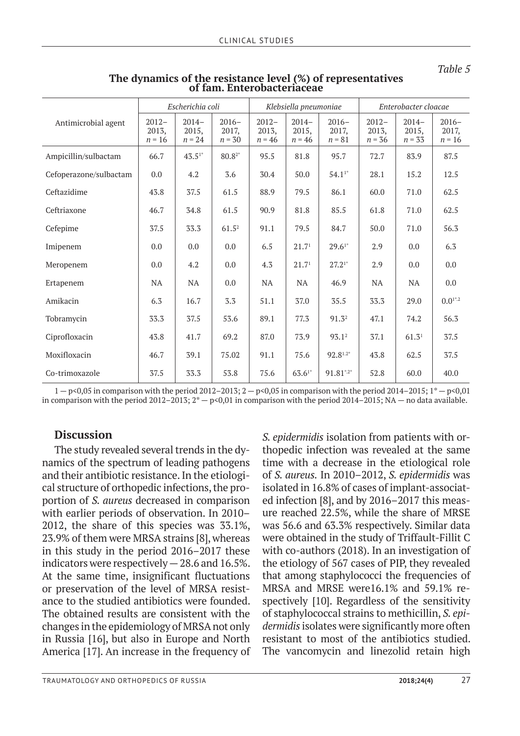|                        | Escherichia coli              |                              |                                          | Klebsiella pneumoniae         |                              |                              | Enterobacter cloacae          |                              |                              |
|------------------------|-------------------------------|------------------------------|------------------------------------------|-------------------------------|------------------------------|------------------------------|-------------------------------|------------------------------|------------------------------|
| Antimicrobial agent    | $2012 -$<br>2013,<br>$n = 16$ | $2014-$<br>2015,<br>$n = 24$ | $2016-$<br>2017,<br>$n = 30$             | $2012 -$<br>2013,<br>$n = 46$ | $2014-$<br>2015,<br>$n = 46$ | $2016-$<br>2017,<br>$n = 81$ | $2012 -$<br>2013,<br>$n = 36$ | $2014-$<br>2015,<br>$n = 33$ | $2016-$<br>2017,<br>$n = 16$ |
| Ampicillin/sulbactam   | 66.7                          | $43.51*$                     | $80.8^{\scriptscriptstyle{\mathrm{2}}*}$ | 95.5                          | 81.8                         | 95.7                         | 72.7                          | 83.9                         | 87.5                         |
| Cefoperazone/sulbactam | 0.0                           | 4.2                          | 3.6                                      | 30.4                          | 50.0                         | $54.11*$                     | 28.1                          | 15.2                         | 12.5                         |
| Ceftazidime            | 43.8                          | 37.5                         | 61.5                                     | 88.9                          | 79.5                         | 86.1                         | 60.0                          | 71.0                         | 62.5                         |
| Ceftriaxone            | 46.7                          | 34.8                         | 61.5                                     | 90.9                          | 81.8                         | 85.5                         | 61.8                          | 71.0                         | 62.5                         |
| Cefepime               | 37.5                          | 33.3                         | $61.5^2$                                 | 91.1                          | 79.5                         | 84.7                         | 50.0                          | 71.0                         | 56.3                         |
| Imipenem               | 0.0                           | 0.0                          | 0.0                                      | 6.5                           | 21.7 <sup>1</sup>            | $29.61*$                     | 2.9                           | 0.0                          | 6.3                          |
| Meropenem              | 0.0                           | 4.2                          | 0.0                                      | 4.3                           | 21.7 <sup>1</sup>            | $27.21*$                     | 2.9                           | 0.0                          | $0.0\,$                      |
| Ertapenem              | NA                            | <b>NA</b>                    | 0.0                                      | NA                            | <b>NA</b>                    | 46.9                         | <b>NA</b>                     | NA                           | 0.0                          |
| Amikacin               | 6.3                           | 16.7                         | 3.3                                      | 51.1                          | 37.0                         | 35.5                         | 33.3                          | 29.0                         | $0.01^{*.2}$                 |
| Tobramycin             | 33.3                          | 37.5                         | 53.6                                     | 89.1                          | 77.3                         | 91.3 <sup>2</sup>            | 47.1                          | 74.2                         | 56.3                         |
| Ciprofloxacin          | 43.8                          | 41.7                         | 69.2                                     | 87.0                          | 73.9                         | 93.12                        | 37.1                          | $61.3^{1}$                   | 37.5                         |
| Moxifloxacin           | 46.7                          | 39.1                         | 75.02                                    | 91.1                          | 75.6                         | $92.8^{1.2*}$                | 43.8                          | 62.5                         | 37.5                         |
| Co-trimoxazole         | 37.5                          | 33.3                         | 53.8                                     | 75.6                          | $63.61*$                     | $91.81^{*.2*}$               | 52.8                          | 60.0                         | 40.0                         |

### **The dynamics of the resistance level (%) of representatives of fam. Enterobacteriaceae**

 $1-p<0.05$  in comparison with the period 2012–2013;  $2-p<0.05$  in comparison with the period 2014–2015;  $1^*-p<0.01$ in comparison with the period  $2012-2015$ ;  $2^* - p \le 0.01$  in comparison with the period  $2014-2015$ ; NA — no data available.

#### **Discussion**

The study revealed several trends in the dynamics of the spectrum of leading pathogens and their antibiotic resistance. In the etiological structure of orthopedic infections, the proportion of *S. aureus* decreased in comparison with earlier periods of observation. In 2010– 2012, the share of this species was 33.1%, 23.9% of them were MRSA strains [8], whereas in this study in the period 2016–2017 these indicators were respectively — 28.6 and 16.5%. At the same time, insignificant fluctuations or preservation of the level of MRSA resistance to the studied antibiotics were founded. The obtained results are consistent with the changes in the epidemiology of MRSA not only in Russia [16], but also in Europe and North America [17]. An increase in the frequency of

*S. epidermidis* isolation from patients with orthopedic infection was revealed at the same time with a decrease in the etiological role of *S. aureus.* In 2010–2012, *S. epidermidis* was isolated in 16.8% of cases of implant-associated infection [8], and by 2016–2017 this measure reached 22.5%, while the share of MRSE was 56.6 and 63.3% respectively. Similar data were obtained in the study of Triffault-Fillit C with co-authors (2018). In an investigation of the etiology of 567 cases of PIP, they revealed that among staphylococci the frequencies of MRSA and MRSE were16.1% and 59.1% respectively [10]. Regardless of the sensitivity of staphylococcal strains to methicillin, *S. epidermidis* isolates were significantly more often resistant to most of the antibiotics studied. The vancomycin and linezolid retain high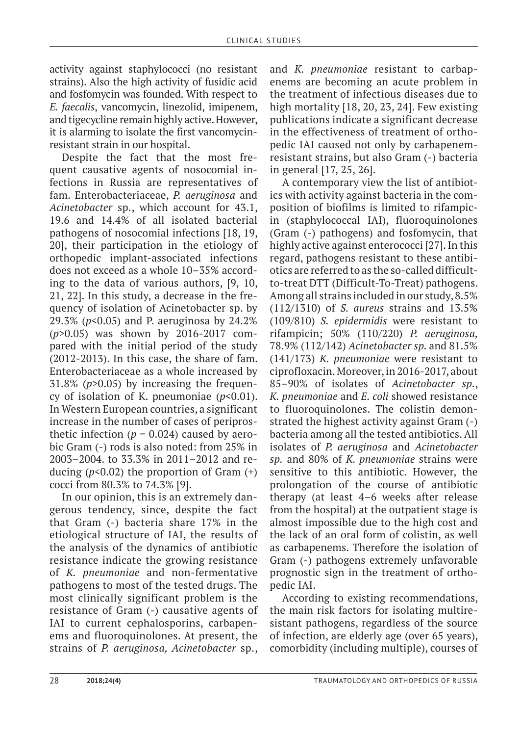activity against staphylococci (no resistant strains). Also the high activity of fusidic acid and fosfomycin was founded. With respect to *E. faecalis*, vancomycin, linezolid, imipenem, and tigecycline remain highly active. However, it is alarming to isolate the first vancomycinresistant strain in our hospital.

Despite the fact that the most frequent causative agents of nosocomial infections in Russia are representatives of fam. Enterobacteriaceae, *P. aeruginosa* and *Acinetobacter* sp., which account for 43.1, 19.6 and 14.4% of all isolated bacterial pathogens of nosocomial infections [18, 19, 20], their participation in the etiology of orthopedic implant-associated infections does not exceed as a whole 10–35% according to the data of various authors, [9, 10, 21, 22]. In this study, a decrease in the frequency of isolation of Acinetobacter sp. by 29.3% (*p*<0.05) and P. aeruginosa by 24.2% (*p*>0.05) was shown by 2016-2017 compared with the initial period of the study (2012-2013). In this case, the share of fam. Enterobacteriaceae as a whole increased by 31.8% (*p*>0.05) by increasing the frequency of isolation of K. pneumoniae (*p*<0.01). In Western European countries, a significant increase in the number of cases of periprosthetic infection ( $p = 0.024$ ) caused by aerobic Gram (-) rods is also noted: from 25% in 2003–2004. to 33.3% in 2011–2012 and reducing  $(p<0.02)$  the proportion of Gram  $(+)$ cocci from 80.3% to 74.3% [9].

In our opinion, this is an extremely dangerous tendency, since, despite the fact that Gram (-) bacteria share 17% in the etiological structure of IAI, the results of the analysis of the dynamics of antibiotic resistance indicate the growing resistance of *K. pneumoniae* and non-fermentative pathogens to most of the tested drugs. The most clinically significant problem is the resistance of Gram (-) causative agents of IAI to current cephalosporins, carbapenems and fluoroquinolones. At present, the strains of *P. aeruginosa, Acinetobacter* sp.,

and *K. pneumoniae* resistant to carbapenems are becoming an acute problem in the treatment of infectious diseases due to high mortality [18, 20, 23, 24]. Few existing publications indicate a significant decrease in the effectiveness of treatment of orthopedic IAI caused not only by carbapenemresistant strains, but also Gram (-) bacteria in general [17, 25, 26].

A contemporary view the list of antibiotics with activity against bacteria in the composition of biofilms is limited to rifampicin (staphylococcal IAI), fluoroquinolones (Gram (-) pathogens) and fosfomycin, that highly active against enterococci [27]. In this regard, pathogens resistant to these antibiotics are referred to as the so-called difficultto-treat DTT (Difficult-To-Treat) pathogens. Among all strains included in our study, 8.5% (112/1310) of *S. aureus* strains and 13.5% (109/810) *S. epidermidis* were resistant to rifampicin; 50% (110/220) *P. aeruginosa,*  78.9% (112/142) *Acinetobacter sp.* and 81.5% (141/173) *K. pneumoniae* were resistant to ciprofloxacin. Moreover, in 2016-2017, about 85–90% of isolates of *Acinetobacter sp.*, *K. pneumoniae* and *E. coli* showed resistance to fluoroquinolones. The colistin demonstrated the highest activity against Gram (-) bacteria among all the tested antibiotics. All isolates of *P. aeruginosa* and *Acinetobacter sp.* and 80% of *K. pneumoniae* strains were sensitive to this antibiotic. However, the prolongation of the course of antibiotic therapy (at least 4–6 weeks after release from the hospital) at the outpatient stage is almost impossible due to the high cost and the lack of an oral form of colistin, as well as carbapenems. Therefore the isolation of Gram (-) pathogens extremely unfavorable prognostic sign in the treatment of orthopedic IAI.

According to existing recommendations, the main risk factors for isolating multiresistant pathogens, regardless of the source of infection, are elderly age (over 65 years), comorbidity (including multiple), courses of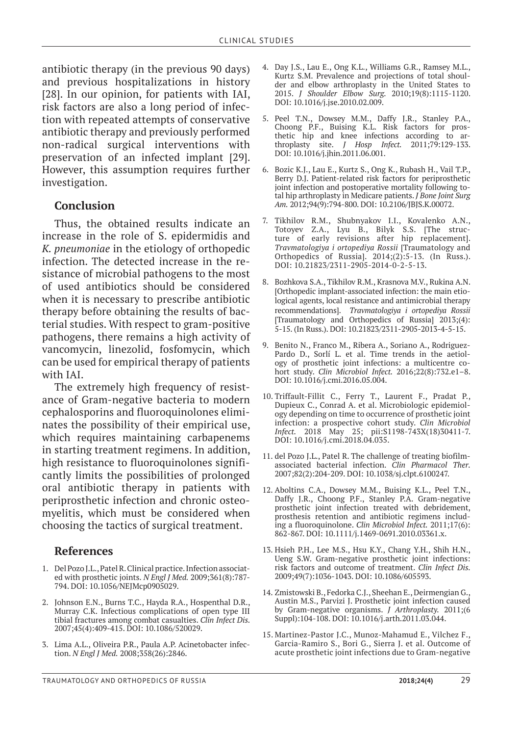antibiotic therapy (in the previous 90 days) and previous hospitalizations in history [28]. In our opinion, for patients with IAI, risk factors are also a long period of infection with repeated attempts of conservative antibiotic therapy and previously performed non-radical surgical interventions with preservation of an infected implant [29]. However, this assumption requires further investigation.

#### **Conclusion**

Thus, the obtained results indicate an increase in the role of S. epidermidis and *K. pneumoniae* in the etiology of orthopedic infection. The detected increase in the resistance of microbial pathogens to the most of used antibiotics should be considered when it is necessary to prescribe antibiotic therapy before obtaining the results of bacterial studies. With respect to gram-positive pathogens, there remains a high activity of vancomycin, linezolid, fosfomycin, which can be used for empirical therapy of patients with IAI.

The extremely high frequency of resistance of Gram-negative bacteria to modern cephalosporins and fluoroquinolones eliminates the possibility of their empirical use, which requires maintaining carbapenems in starting treatment regimens. In addition, high resistance to fluoroquinolones significantly limits the possibilities of prolonged oral antibiotic therapy in patients with periprosthetic infection and chronic osteomyelitis, which must be considered when choosing the tactics of surgical treatment.

#### **References**

- 1. Del Pozo J.L., Patel R. Clinical practice. Infection associated with prosthetic joints. *N Engl J Med.* 2009;361(8):787- 794. DOI: 10.1056/NEJMcp0905029.
- 2. Johnson E.N., Burns T.C., Hayda R.A., Hospenthal D.R., Murray C.K. Infectious complications of open type III tibial fractures among combat casualties. *Clin Infect Dis.*  2007;45(4):409-415. DOI: 10.1086/520029.
- 3. Lima A.L., Oliveira P.R., Paula A.P. Acinetobacter infection. *N Engl J Med.* 2008;358(26):2846.
- 4. Day J.S., Lau E., Ong K.L., Williams G.R., Ramsey M.L., Kurtz S.M. Prevalence and projections of total shoulder and elbow arthroplasty in the United States to 2015. *J Shoulder Elbow Surg.* 2010;19(8):1115-1120. DOI: 10.1016/j.jse.2010.02.009.
- 5. Peel T.N., Dowsey M.M., Daffy J.R., Stanley P.A., Choong P.F., Buising K.L. Risk factors for prosthetic hip and knee infections according to arthroplasty site. *J Hosp Infect.* 2011;79:129-133. DOI: 10.1016/j.jhin.2011.06.001.
- 6. Bozic K.J., Lau E., Kurtz S., Ong K., Rubash H., Vail T.P., Berry D.J. Patient-related risk factors for periprosthetic joint infection and postoperative mortality following total hip arthroplasty in Medicare patients. *J Bone Joint Surg Am.* 2012;94(9):794-800. DOI: 10.2106/JBJS.K.00072.
- 7. Tikhilov R.M., Shubnyakov I.I., Kovalenko A.N., Totoyev Z.A., Lyu B., Bilyk S.S. [The structure of early revisions after hip replacement]. *Travmatologiya i ortopediya Rossii* [Traumatology and Orthopedics of Russia]. 2014;(2):5-13. (In Russ.). DOI: 10.21823/2311-2905-2014-0-2-5-13.
- 8. Bozhkova S.A., Tikhilov R.M., Krasnova M.V., Rukina A.N. [Orthopedic implant-associated infection: the main etiological agents, local resistance and antimicrobial therapy recommendations]. *Travmatologiya i ortopediya Rossii*  [Traumatology and Orthopedics of Russia] 2013;(4): 5-15. (In Russ.). DOI: 10.21823/2311-2905-2013-4-5-15.
- 9. Benito N., Franco M., Ribera A., Soriano A., Rodriguez-Pardo D., Sorlí L. et al. Time trends in the aetiology of prosthetic joint infections: a multicentre cohort study. *Clin Microbiol Infect.* 2016;22(8):732.e1–8. DOI: 10.1016/j.cmi.2016.05.004.
- 10. Triffault-Fillit C., Ferry T., Laurent F., Pradat P., Dupieux C., Conrad A. et al. Microbiologic epidemiology depending on time to occurrence of prosthetic joint infection: a prospective cohort study. *Clin Microbiol Infect.* 2018 May 25; pii:S1198-743X(18)30411-7. DOI: 10.1016/j.cmi.2018.04.035.
- 11. del Pozo J.L., Patel R. The challenge of treating biofilmassociated bacterial infection. *Clin Pharmacol Ther.*  2007;82(2):204-209. DOI: 10.1038/sj.clpt.6100247.
- 12. Aboltins C.A., Dowsey M.M., Buising K.L., Peel T.N., Daffy J.R., Choong P.F., Stanley P.A. Gram-negative prosthetic joint infection treated with debridement, prosthesis retention and antibiotic regimens including a fluoroquinolone. *Clin Microbiol Infect.* 2011;17(6): 862-867. DOI: 10.1111/j.1469-0691.2010.03361.x.
- 13. Hsieh P.H., Lee M.S., Hsu K.Y., Chang Y.H., Shih H.N., Ueng S.W. Gram-negative prosthetic joint infections: risk factors and outcome of treatment. *Clin Infect Dis.*  2009;49(7):1036-1043. DOI: 10.1086/605593.
- 14. Zmistowski B., Fedorka C.J., Sheehan E., Deirmengian G., Austin M.S., Parvizi J. Prosthetic joint infection caused by Gram-negative organisms. *J Arthroplasty.* 2011;(6 Suppl):104-108. DOI: 10.1016/j.arth.2011.03.044.
- 15. Martinez-Pastor J.C., Munoz-Mahamud E., Vilchez F., Garcia-Ramiro S., Bori G., Sierra J. et al. Outcome of acute prosthetic joint infections due to Gram-negative

Traumatology and orthopedics of Russia **2018;24(4)** 29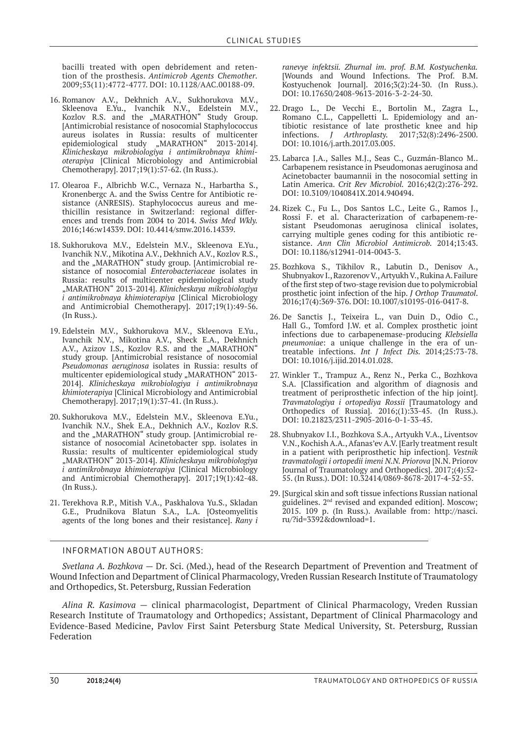bacilli treated with open debridement and retention of the prosthesis. *Antimicrob Agents Chemother.* 2009;53(11):4772-4777. DOI: 10.1128/AAC.00188-09.

- 16. Romanov А.V., Dekhnich А.V., Sukhorukova М.V., Skleenova Е.Yu., Ivanchik N.V., Edelstein М.V., Kozlov R.S. and the "MARATHON" Study Group. [Antimicrobial resistance of nosocomial Staphylococcus aureus isolates in Russia: results of multicenter epidemiological study "MARATHON" 2013-2014]. *Klinicheskaya mikrobiologiya i antimikrobnaya khimioterapiya* [Clinical Microbiology and Antimicrobial Chemotherapy]. 2017;19(1):57-62. (In Russ.).
- 17. Olearoa F., Albrichb W.C., Vernaza N., Harbartha S., Kronenbergc A. and the Swiss Centre for Antibiotic resistance (ANRESIS). Staphylococcus aureus and methicillin resistance in Switzerland: regional differences and trends from 2004 to 2014. *Swiss Med Wkly.* 2016;146:w14339. DOI: 10.4414/smw.2016.14339.
- 18. Sukhorukova M.V., Edelstein M.V., Skleenova E.Yu., Ivanchik N.V., Mikotina A.V., Dekhnich A.V., Kozlov R.S., and the "MARATHON" study group. [Antimicrobial resistance of nosocomial *Enterobacteriaceae* isolates in Russia: results of multicenter epidemiological study "MARATHON" 2013-2014]. *Klinicheskaya mikrobiologiya i antimikrobnaya khimioterapiya* [Clinical Microbiology and Antimicrobial Chemotherapy]. 2017;19(1):49-56. (In Russ.).
- 19. Edelstein M.V., Sukhorukova M.V., Skleenova E.Yu., Ivanchik N.V., Mikotina A.V., Sheck E.A., Dekhnich A.V., Azizov I.S., Kozlov R.S. and the "MARATHON" study group. [Antimicrobial resistance of nosocomial *Pseudomonas aeruginosa* isolates in Russia: results of multicenter epidemiological study "MARATHON" 2013-2014]. *Klinicheskaya mikrobiologiya i antimikrobnaya khimioterapiya* [Clinical Microbiology and Antimicrobial Chemotherapy]. 2017;19(1):37-41. (In Russ.).
- 20. Sukhorukova M.V., Edelstein M.V., Skleenova E.Yu., Ivanchik N.V., Shek E.A., Dekhnich A.V., Kozlov R.S. and the "MARATHON" study group. [Antimicrobial resistance of nosocomial Acinetobacter spp. isolates in Russia: results of multicenter epidemiological study "MARATHON" 2013-2014]. *Klinicheskaya mikrobiologiya i antimikrobnaya khimioterapiya* [Clinical Microbiology and Antimicrobial Chemotherapy]. 2017;19(1):42-48. (In Russ.).
- 21. Terekhova R.P., Mitish V.A., Paskhalova Yu.S., Skladan G.E., Prudnikova Blatun S.A., L.A. [Osteomyelitis agents of the long bones and their resistance]. *Rany i*

*ranevye infektsii. Zhurnal im. prof. B.M. Kostyuchenka.* [Wounds and Wound Infections. The Prof. B.M. Kostyuchenok Journal]. 2016;3(2):24-30. (In Russ.). DOI: 10.17650/2408-9613-2016-3-2-24-30.

- 22. Drago L., De Vecchi E., Bortolin M., Zagra L., Romano C.L., Cappelletti L. Epidemiology and antibiotic resistance of late prosthetic knee and hip infections. *J Arthroplasty.* 2017;32(8):2496-2500. DOI: 10.1016/j.arth.2017.03.005.
- 23. Labarca J.A., Salles M.J., Seas C., Guzmán-Blanco M.. Carbapenem resistance in Pseudomonas aeruginosa and Acinetobacter baumannii in the nosocomial setting in Latin America. *Crit Rev Microbiol.* 2016;42(2):276-292. DOI: 10.3109/1040841X.2014.940494.
- 24. Rizek C., Fu L., Dos Santos L.C., Leite G., Ramos J., Rossi F. et al. Characterization of carbapenem-resistant Pseudomonas aeruginosa clinical isolates, carrying multiple genes coding for this antibiotic resistance. *Ann Clin Microbiol Antimicrob.* 2014;13:43. DOI: 10.1186/s12941-014-0043-3.
- 25. Bozhkova S., Tikhilov R., Labutin D., Denisov A., Shubnyakov I., Razorenov V., Artyukh V., Rukina A. Failure of the first step of two-stage revision due to polymicrobial prosthetic joint infection of the hip. *J Orthop Traumatol*. 2016;17(4):369-376. DOI: 10.1007/s10195-016-0417-8.
- 26. De Sanctis J., Teixeira L., van Duin D., Odio C., Hall G., Tomford J.W. et al. Complex prosthetic joint infections due to carbapenemase-producing *Klebsiella pneumoniae*: a unique challenge in the era of untreatable infections. *Int J Infect Dis.* 2014;25:73-78. DOI: 10.1016/j.ijid.2014.01.028.
- 27. Winkler T., Trampuz A., Renz N., Perka C., Bozhkova S.A. [Classification and algorithm of diagnosis and treatment of periprosthetic infection of the hip joint]. *Travmatologiya i ortopediya Rossii* [Traumatology and Orthopedics of Russia]. 2016;(1):33-45. (In Russ.). DOI: 10.21823/2311-2905-2016-0-1-33-45.
- 28. Shubnyakov I.I., Bozhkova S.A., Artyukh V.A., Liventsov V.N., Kochish A.A., Afanas'ev A.V. [Early treatment result in a patient with periprosthetic hip infection]. *Vestnik travmatologii i ortopedii imeni N.N. Priorova* [N.N. Priorov Journal of Traumatology and Orthopedics]. 2017;(4):52- 55. (In Russ.). DOI: 10.32414/0869-8678-2017-4-52-55.
- 29. [Surgical skin and soft tissue infections Russian national guidelines. 2nd revised and expanded edition]. Moscow; 2015. 109 р. (In Russ.). Available from: http://nasci. ru/?id=3392&download=1.

#### INFORMATION ABOUT AUTHORS:

*Svetlana A. Bozhkova —* Dr. Sci. (Med.), head of the Research Department of Prevention and Treatment of Wound Infection and Department of Clinical Pharmacology, Vreden Russian Research Institute of Traumatology and Orthopedics, St. Petersburg, Russian Federation

*Alina R. Kasimova* — clinical pharmacologist, Department of Clinical Pharmacology, Vreden Russian Research Institute of Traumatology and Orthopedics; Assistant, Department of Clinical Pharmacology and Evidence-Based Medicine, Pavlov First Saint Petersburg State Medical University, St. Petersburg, Russian Federation